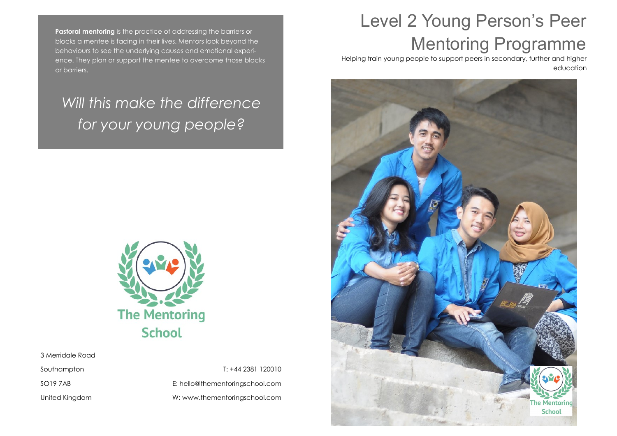**Pastoral mentoring** is the practice of addressing the barriers or blocks a mentee is facing in their lives. Mentors look beyond the behaviours to see the underlying causes and emotional experience. They plan or support the mentee to overcome those blocks or barriers.

### *Will this make the difference for your young people?*



3 Merridale Road

Southampton

SO19 7AB

United Kingdom

T: +44 2381 120010 E: hello@thementoringschool.com W: www.thementoringschool.com

## Level 2 Young Person's Peer Mentoring Programme

Helping train young people to support peers in secondary, further and higher education